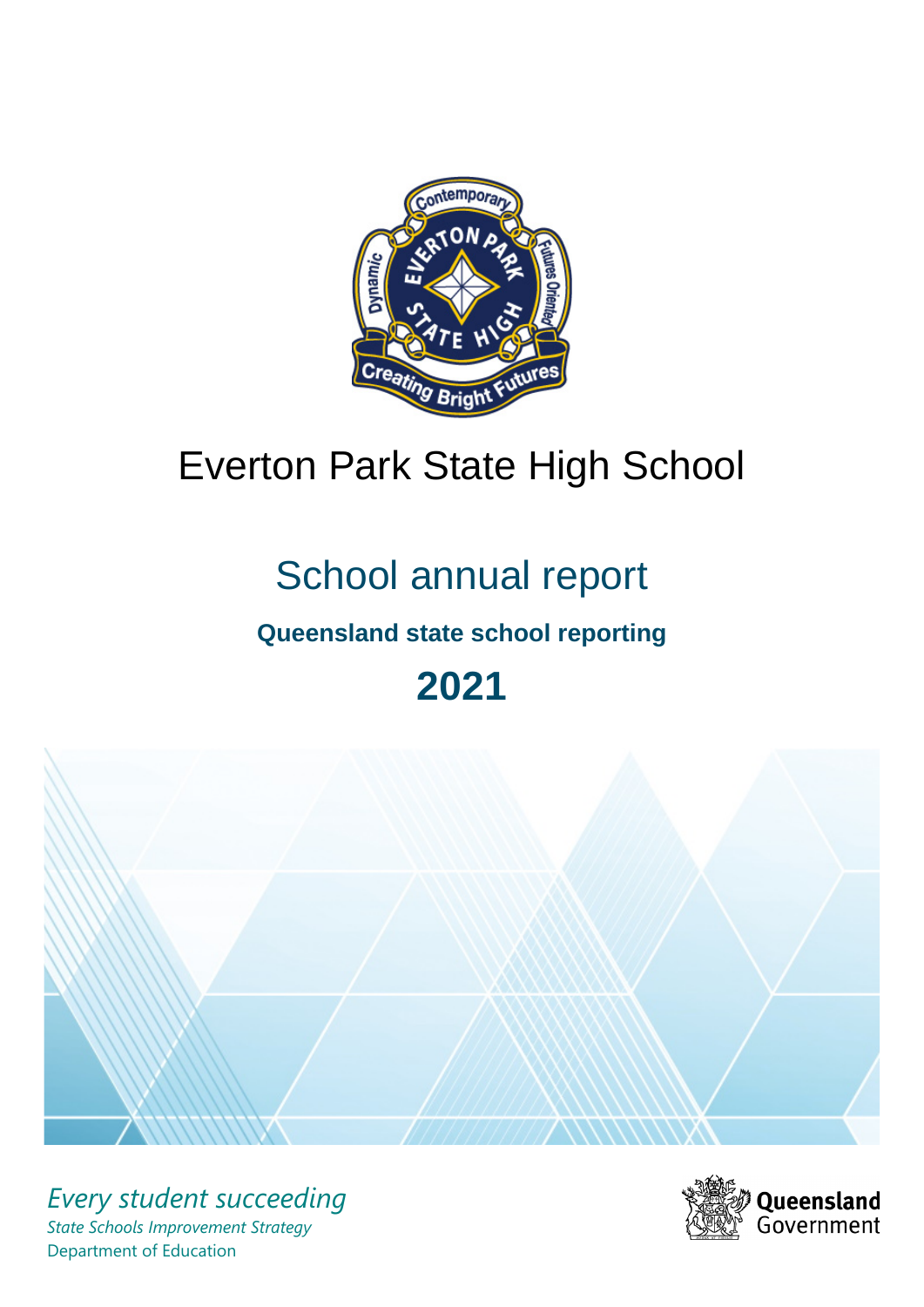

# Everton Park State High School

# School annual report

# **Queensland state school reporting**

# **2021**



*Every student succeeding State Schools Improvement Strategy* Department of Education

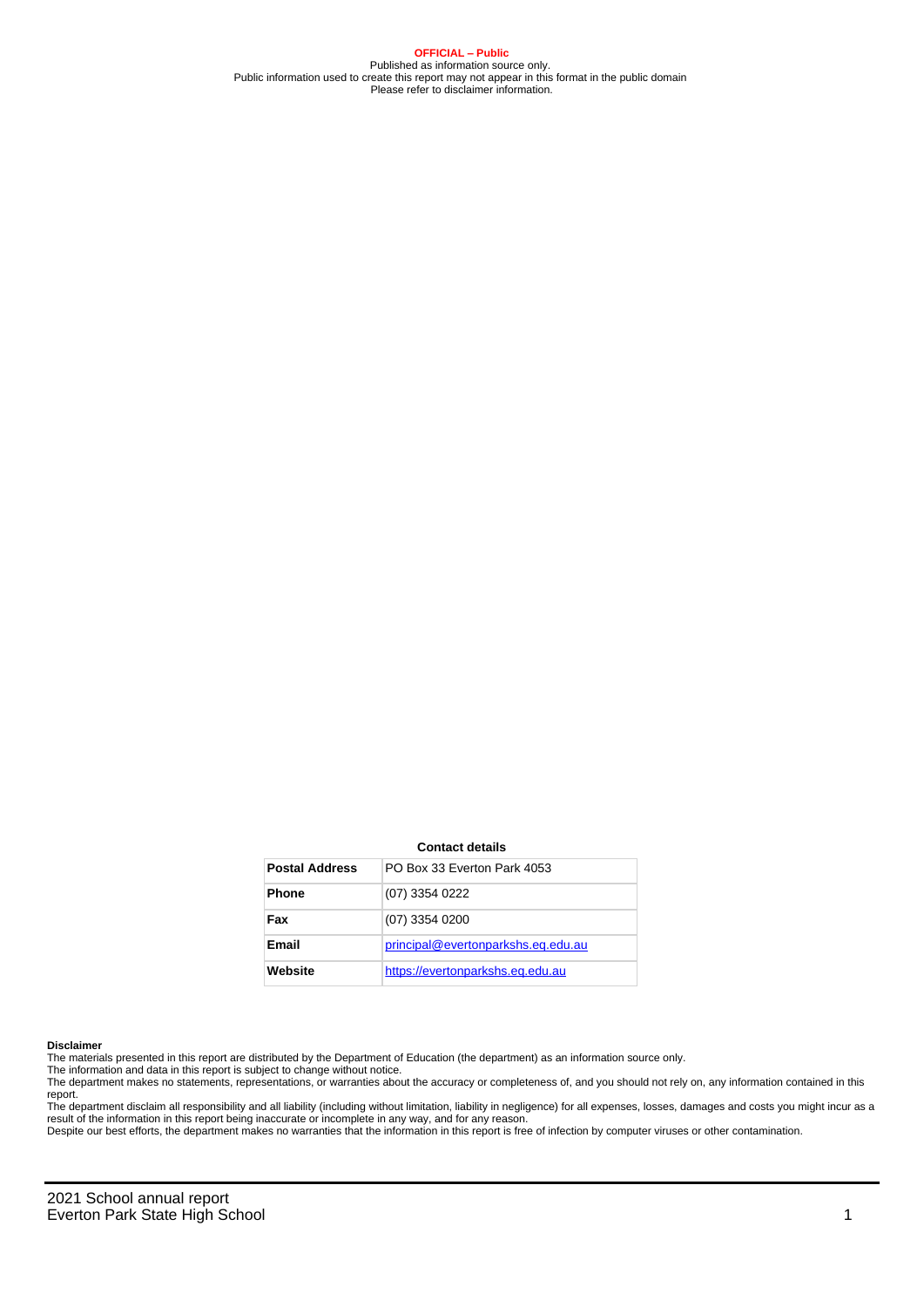**OFFICIAL – Public** Published as information source only. Public information used to create this report may not appear in this format in the public domain Please refer to disclaimer information.

#### **Contact details**

| <b>Postal Address</b> | PO Box 33 Everton Park 4053        |
|-----------------------|------------------------------------|
| <b>Phone</b>          | (07) 3354 0222                     |
| Fax                   | (07) 3354 0200                     |
| Email                 | principal@evertonparkshs.eq.edu.au |
| Website               | https://evertonparkshs.eg.edu.au   |

#### **Disclaimer**

The materials presented in this report are distributed by the Department of Education (the department) as an information source only.

The information and data in this report is subject to change without notice.<br>The department makes no statements, representations, or warranties about the accuracy or completeness of, and you should not rely on, any informa report. The department disclaim all responsibility and all liability (including without limitation, liability in negligence) for all expenses, losses, damages and costs you might incur as a

result of the information in this report being inaccurate or incomplete in any way, and for any reason.

Despite our best efforts, the department makes no warranties that the information in this report is free of infection by computer viruses or other contamination.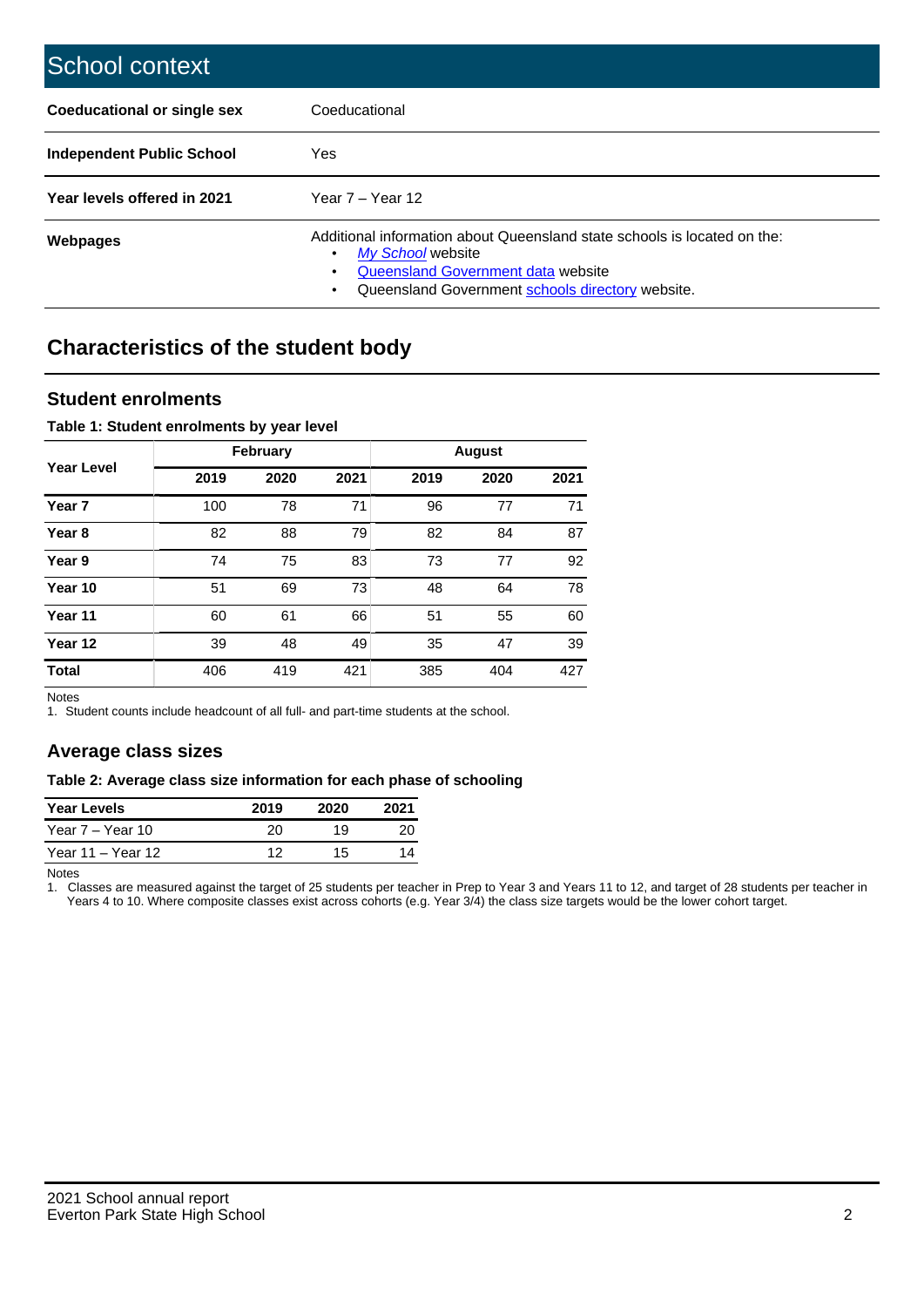| School context                     |                                                                                                                                                                                                   |
|------------------------------------|---------------------------------------------------------------------------------------------------------------------------------------------------------------------------------------------------|
| <b>Coeducational or single sex</b> | Coeducational                                                                                                                                                                                     |
| Independent Public School          | <b>Yes</b>                                                                                                                                                                                        |
| Year levels offered in 2021        | Year $7 -$ Year 12                                                                                                                                                                                |
| Webpages                           | Additional information about Queensland state schools is located on the:<br>My School website<br>٠<br>Queensland Government data website<br>Queensland Government schools directory website.<br>٠ |

# **Characteristics of the student body**

## **Student enrolments**

## **Table 1: Student enrolments by year level**

|                   |      | <b>February</b> |      |      | <b>August</b> |      |
|-------------------|------|-----------------|------|------|---------------|------|
| <b>Year Level</b> | 2019 | 2020            | 2021 | 2019 | 2020          | 2021 |
| Year <sub>7</sub> | 100  | 78              | 71   | 96   | 77            | 71   |
| Year <sub>8</sub> | 82   | 88              | 79   | 82   | 84            | 87   |
| Year 9            | 74   | 75              | 83   | 73   | 77            | 92   |
| Year 10           | 51   | 69              | 73   | 48   | 64            | 78   |
| Year 11           | 60   | 61              | 66   | 51   | 55            | 60   |
| Year 12           | 39   | 48              | 49   | 35   | 47            | 39   |
| <b>Total</b>      | 406  | 419             | 421  | 385  | 404           | 427  |

Notes

1. Student counts include headcount of all full- and part-time students at the school.

# **Average class sizes**

### **Table 2: Average class size information for each phase of schooling**

| <b>Year Levels</b> | 2019 | 2020 | 2021 |
|--------------------|------|------|------|
| Year 7 – Year 10   | 20   | 19   | 20   |
| Year 11 – Year 12  | ィっ   | 15   |      |

Notes

1. Classes are measured against the target of 25 students per teacher in Prep to Year 3 and Years 11 to 12, and target of 28 students per teacher in Years 4 to 10. Where composite classes exist across cohorts (e.g. Year 3/4) the class size targets would be the lower cohort target.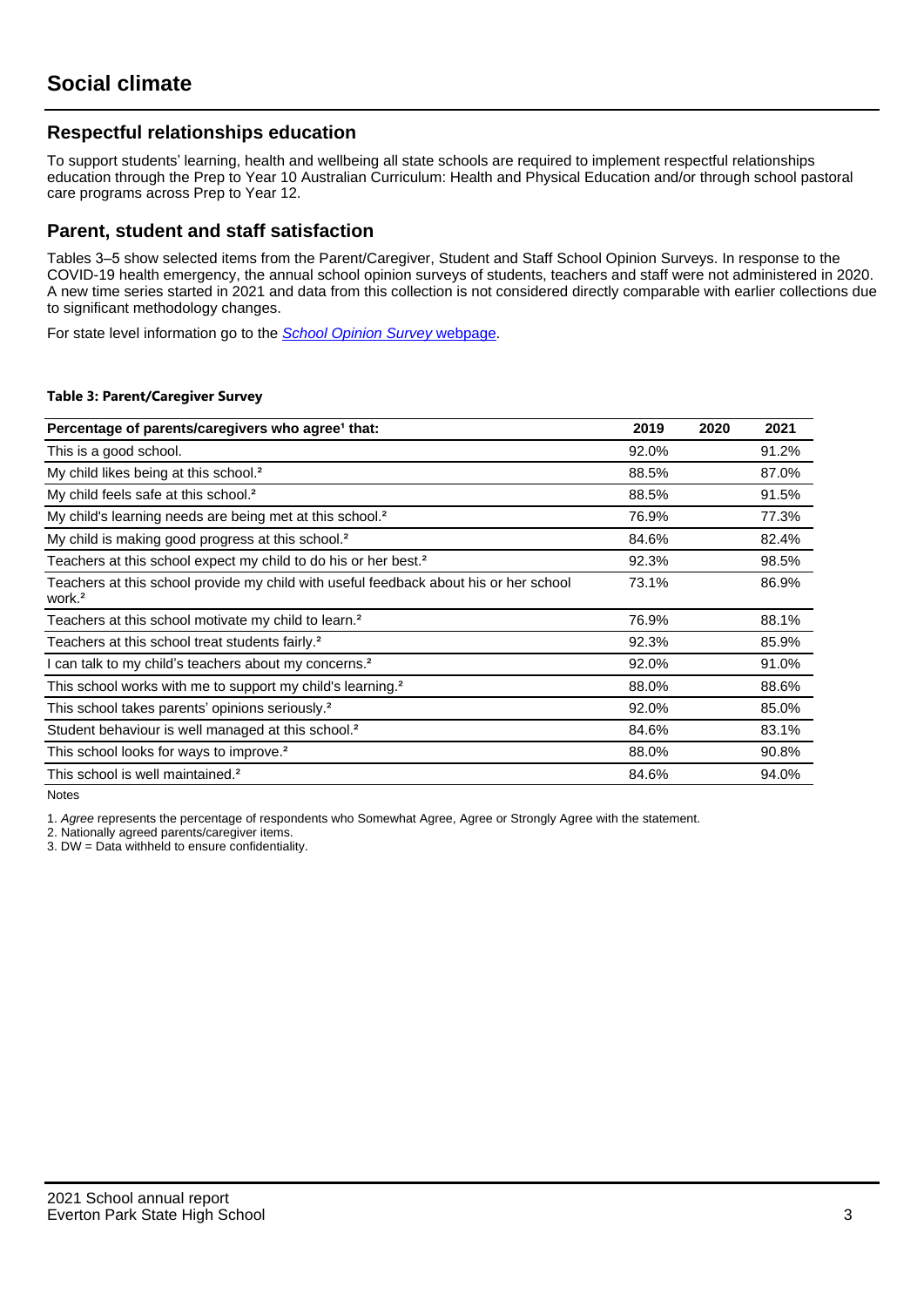# **Respectful relationships education**

To support students' learning, health and wellbeing all state schools are required to implement respectful relationships education through the Prep to Year 10 Australian Curriculum: Health and Physical Education and/or through school pastoral care programs across Prep to Year 12.

## **Parent, student and staff satisfaction**

Tables 3–5 show selected items from the Parent/Caregiver, Student and Staff School Opinion Surveys. In response to the COVID-19 health emergency, the annual school opinion surveys of students, teachers and staff were not administered in 2020. A new time series started in 2021 and data from this collection is not considered directly comparable with earlier collections due to significant methodology changes.

For state level information go to the **[School Opinion Survey](https://qed.qld.gov.au/publications/reports/statistics/schooling/schools/schoolopinionsurvey) webpage**.

### **Table 3: Parent/Caregiver Survey**

| Percentage of parents/caregivers who agree <sup>1</sup> that:                                               | 2019  | 2020 | 2021  |
|-------------------------------------------------------------------------------------------------------------|-------|------|-------|
| This is a good school.                                                                                      | 92.0% |      | 91.2% |
| My child likes being at this school. <sup>2</sup>                                                           | 88.5% |      | 87.0% |
| My child feels safe at this school. <sup>2</sup>                                                            | 88.5% |      | 91.5% |
| My child's learning needs are being met at this school. <sup>2</sup>                                        | 76.9% |      | 77.3% |
| My child is making good progress at this school. <sup>2</sup>                                               | 84.6% |      | 82.4% |
| Teachers at this school expect my child to do his or her best. <sup>2</sup>                                 | 92.3% |      | 98.5% |
| Teachers at this school provide my child with useful feedback about his or her school<br>work. <sup>2</sup> | 73.1% |      | 86.9% |
| Teachers at this school motivate my child to learn. <sup>2</sup>                                            | 76.9% |      | 88.1% |
| Teachers at this school treat students fairly. <sup>2</sup>                                                 | 92.3% |      | 85.9% |
| can talk to my child's teachers about my concerns. <sup>2</sup>                                             | 92.0% |      | 91.0% |
| This school works with me to support my child's learning. <sup>2</sup>                                      | 88.0% |      | 88.6% |
| This school takes parents' opinions seriously. <sup>2</sup>                                                 | 92.0% |      | 85.0% |
| Student behaviour is well managed at this school. <sup>2</sup>                                              | 84.6% |      | 83.1% |
| This school looks for ways to improve. <sup>2</sup>                                                         | 88.0% |      | 90.8% |
| This school is well maintained. <sup>2</sup>                                                                | 84.6% |      | 94.0% |

Notes

1. Agree represents the percentage of respondents who Somewhat Agree, Agree or Strongly Agree with the statement.

2. Nationally agreed parents/caregiver items.

3. DW = Data withheld to ensure confidentiality.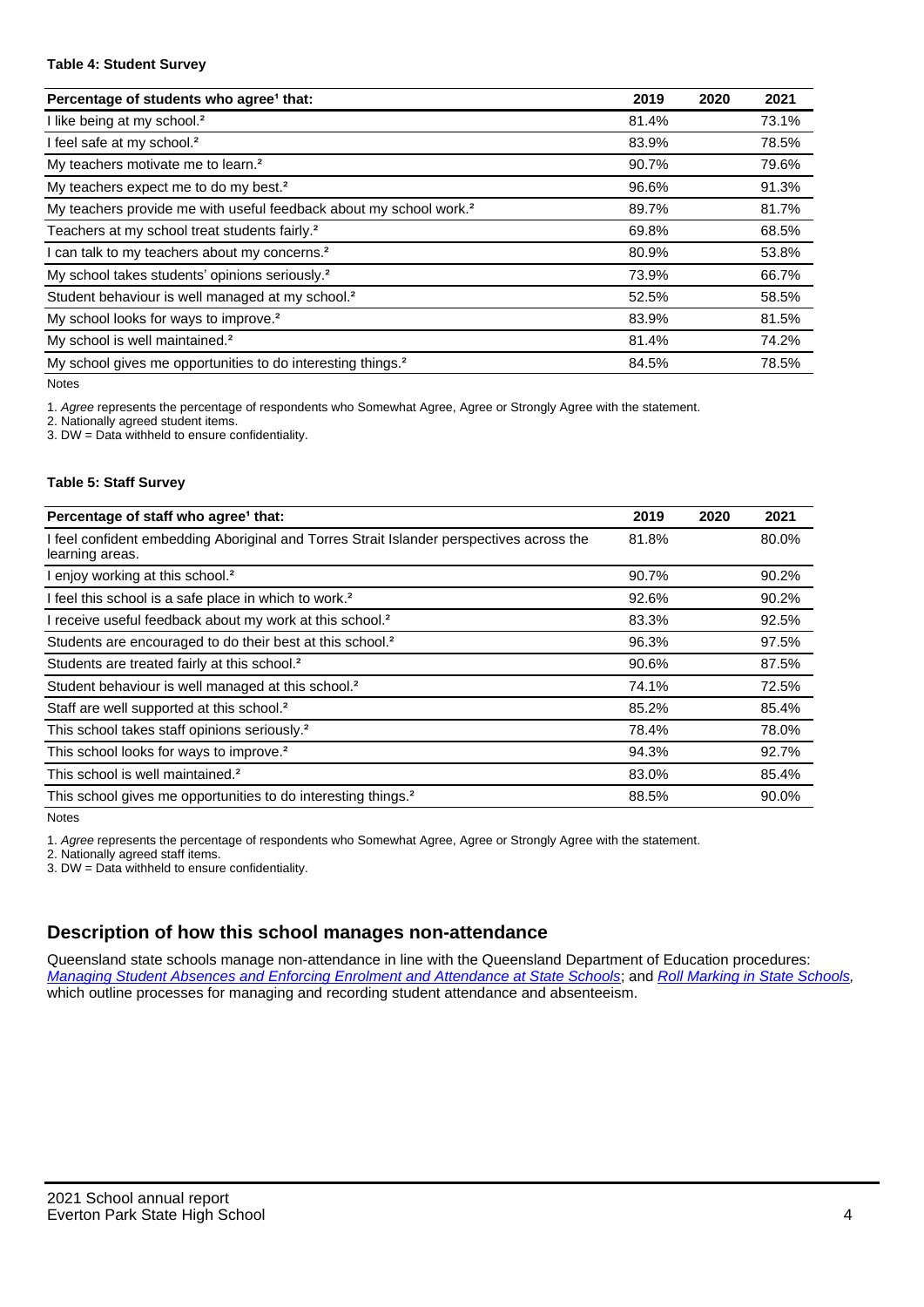### **Table 4: Student Survey**

| Percentage of students who agree <sup>1</sup> that:                            | 2019  | 2020 | 2021  |
|--------------------------------------------------------------------------------|-------|------|-------|
| I like being at my school. <sup>2</sup>                                        | 81.4% |      | 73.1% |
| I feel safe at my school. <sup>2</sup>                                         | 83.9% |      | 78.5% |
| My teachers motivate me to learn. <sup>2</sup>                                 | 90.7% |      | 79.6% |
| My teachers expect me to do my best. <sup>2</sup>                              | 96.6% |      | 91.3% |
| My teachers provide me with useful feedback about my school work. <sup>2</sup> | 89.7% |      | 81.7% |
| Teachers at my school treat students fairly. <sup>2</sup>                      | 69.8% |      | 68.5% |
| I can talk to my teachers about my concerns. <sup>2</sup>                      | 80.9% |      | 53.8% |
| My school takes students' opinions seriously. <sup>2</sup>                     | 73.9% |      | 66.7% |
| Student behaviour is well managed at my school. <sup>2</sup>                   | 52.5% |      | 58.5% |
| My school looks for ways to improve. <sup>2</sup>                              | 83.9% |      | 81.5% |
| My school is well maintained. <sup>2</sup>                                     | 81.4% |      | 74.2% |
| My school gives me opportunities to do interesting things. <sup>2</sup>        | 84.5% |      | 78.5% |

Notes

1. Agree represents the percentage of respondents who Somewhat Agree, Agree or Strongly Agree with the statement.

2. Nationally agreed student items.

3. DW = Data withheld to ensure confidentiality.

### **Table 5: Staff Survey**

| Percentage of staff who agree <sup>1</sup> that:                                                            | 2019  | 2020 | 2021  |
|-------------------------------------------------------------------------------------------------------------|-------|------|-------|
| I feel confident embedding Aboriginal and Torres Strait Islander perspectives across the<br>learning areas. | 81.8% |      | 80.0% |
| I enjoy working at this school. <sup>2</sup>                                                                | 90.7% |      | 90.2% |
| I feel this school is a safe place in which to work. <sup>2</sup>                                           | 92.6% |      | 90.2% |
| I receive useful feedback about my work at this school. <sup>2</sup>                                        | 83.3% |      | 92.5% |
| Students are encouraged to do their best at this school. <sup>2</sup>                                       | 96.3% |      | 97.5% |
| Students are treated fairly at this school. <sup>2</sup>                                                    | 90.6% |      | 87.5% |
| Student behaviour is well managed at this school. <sup>2</sup>                                              | 74.1% |      | 72.5% |
| Staff are well supported at this school. <sup>2</sup>                                                       | 85.2% |      | 85.4% |
| This school takes staff opinions seriously. <sup>2</sup>                                                    | 78.4% |      | 78.0% |
| This school looks for ways to improve. <sup>2</sup>                                                         | 94.3% |      | 92.7% |
| This school is well maintained. <sup>2</sup>                                                                | 83.0% |      | 85.4% |
| This school gives me opportunities to do interesting things. <sup>2</sup>                                   | 88.5% |      | 90.0% |

Notes

1. Agree represents the percentage of respondents who Somewhat Agree, Agree or Strongly Agree with the statement.

2. Nationally agreed staff items.

3. DW = Data withheld to ensure confidentiality.

# **Description of how this school manages non-attendance**

Queensland state schools manage non-attendance in line with the Queensland Department of Education procedures: [Managing Student Absences and Enforcing Enrolment and Attendance at State Schools](https://ppr.qed.qld.gov.au/pp/managing-student-absences-and-enforcing-enrolment-and-attendance-at-state-schools-procedure); and [Roll Marking in State Schools,](https://ppr.qed.qld.gov.au/pp/roll-marking-in-state-schools-procedure) which outline processes for managing and recording student attendance and absenteeism.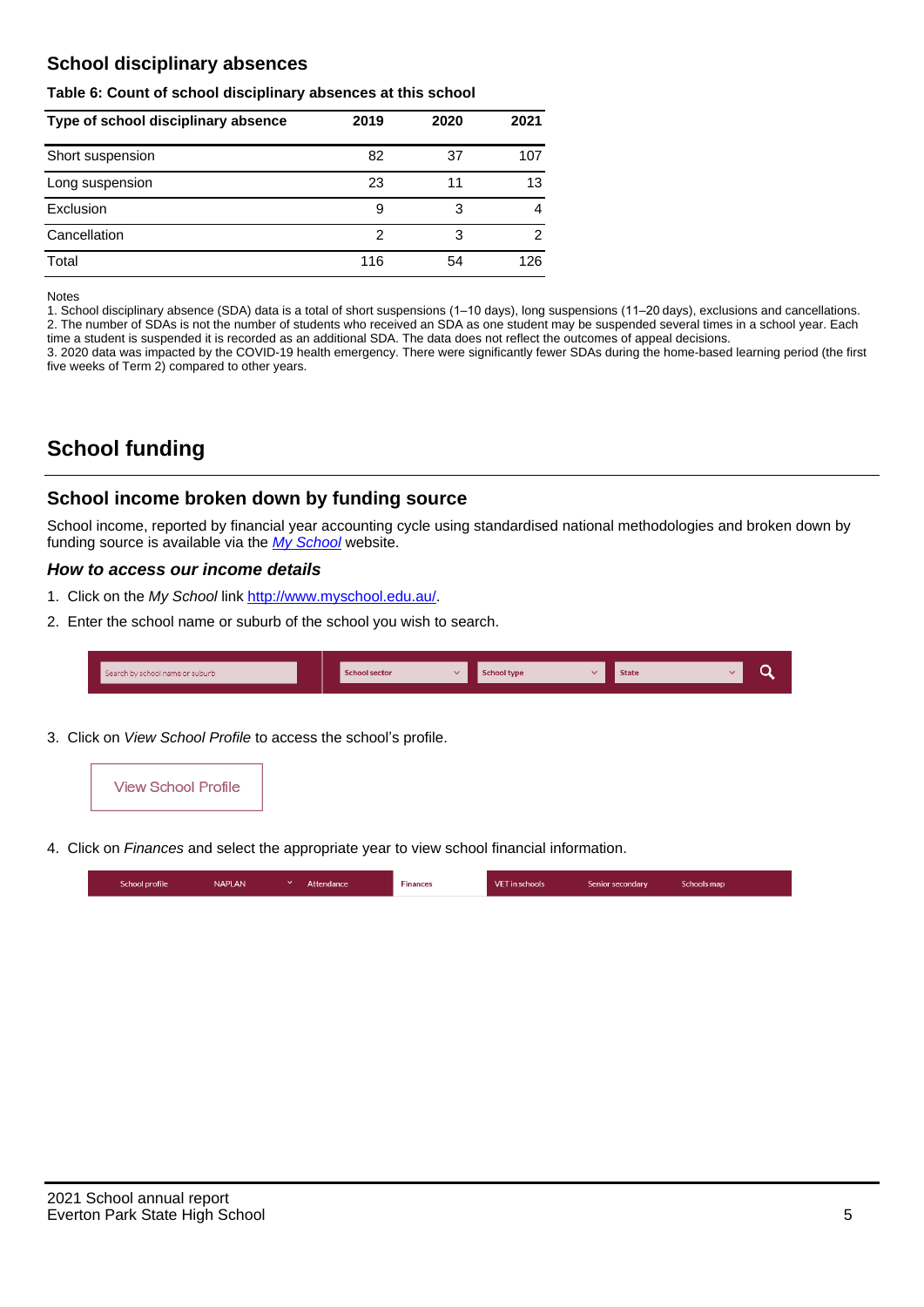# **School disciplinary absences**

### **Table 6: Count of school disciplinary absences at this school**

| Type of school disciplinary absence | 2019 | 2020 | 2021           |
|-------------------------------------|------|------|----------------|
| Short suspension                    | 82   | 37   | 107            |
| Long suspension                     | 23   | 11   | 13             |
| Exclusion                           | 9    | 3    | 4              |
| Cancellation                        | 2    | 3    | $\mathfrak{p}$ |
| Total                               | 116  | 54   | 126            |

#### Notes

1. School disciplinary absence (SDA) data is a total of short suspensions (1–10 days), long suspensions (11–20 days), exclusions and cancellations. 2. The number of SDAs is not the number of students who received an SDA as one student may be suspended several times in a school year. Each time a student is suspended it is recorded as an additional SDA. The data does not reflect the outcomes of appeal decisions.

3. 2020 data was impacted by the COVID-19 health emergency. There were significantly fewer SDAs during the home-based learning period (the first five weeks of Term 2) compared to other years.

# **School funding**

## **School income broken down by funding source**

School income, reported by financial year accounting cycle using standardised national methodologies and broken down by funding source is available via the [My School](http://www.myschool.edu.au/) website.

## **How to access our income details**

- 1. Click on the My School link <http://www.myschool.edu.au/>.
- 2. Enter the school name or suburb of the school you wish to search.

| Search by school name or suburb | <b>School sector</b> | <b>School type</b> | <b>State</b> |  |
|---------------------------------|----------------------|--------------------|--------------|--|
|                                 |                      |                    |              |  |

3. Click on View School Profile to access the school's profile.



4. Click on Finances and select the appropriate year to view school financial information.

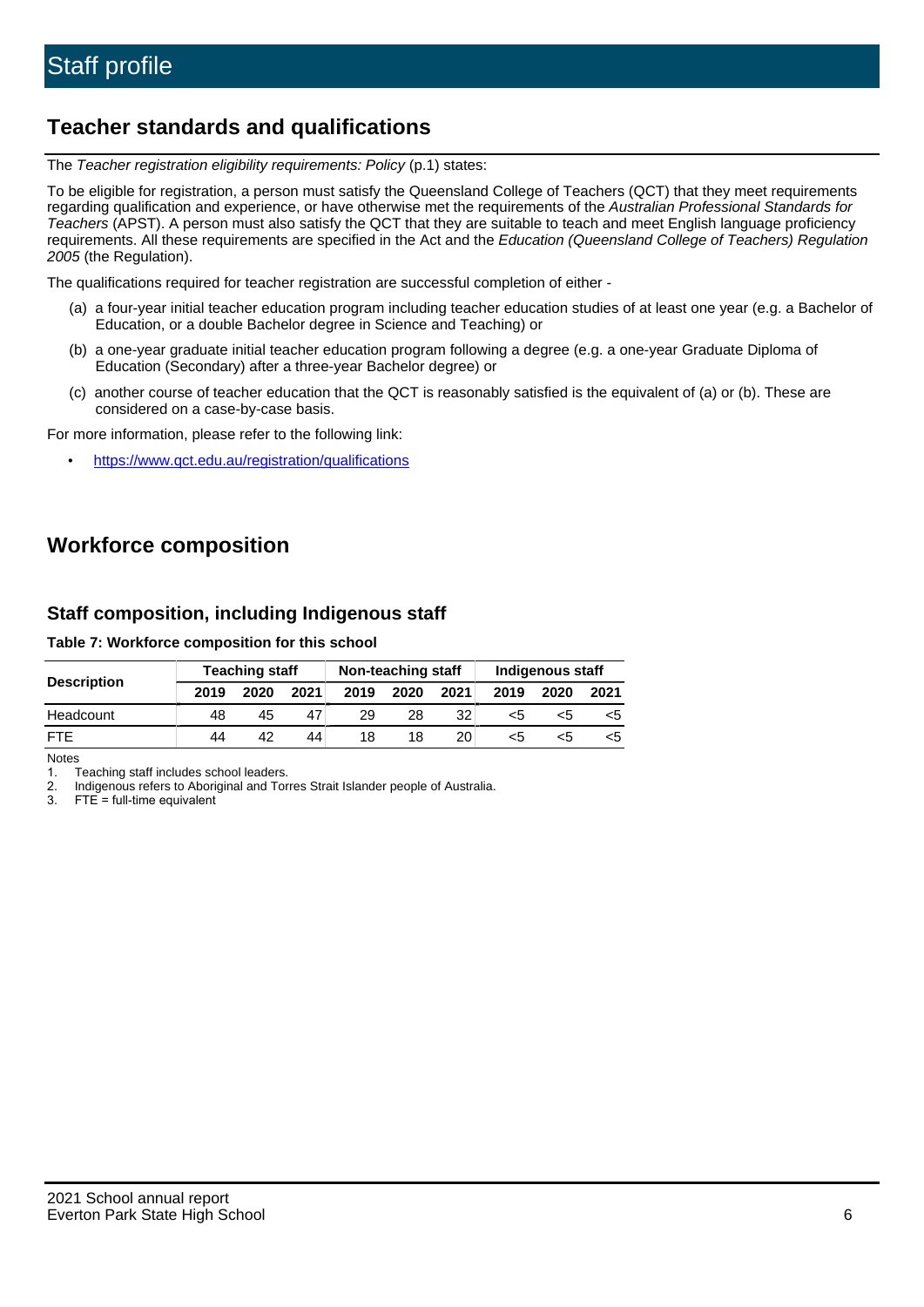# **Teacher standards and qualifications**

The Teacher registration eligibility requirements: Policy (p.1) states:

To be eligible for registration, a person must satisfy the Queensland College of Teachers (QCT) that they meet requirements regarding qualification and experience, or have otherwise met the requirements of the Australian Professional Standards for Teachers (APST). A person must also satisfy the QCT that they are suitable to teach and meet English language proficiency requirements. All these requirements are specified in the Act and the Education (Queensland College of Teachers) Regulation 2005 (the Regulation).

The qualifications required for teacher registration are successful completion of either -

- (a) a four-year initial teacher education program including teacher education studies of at least one year (e.g. a Bachelor of Education, or a double Bachelor degree in Science and Teaching) or
- (b) a one-year graduate initial teacher education program following a degree (e.g. a one-year Graduate Diploma of Education (Secondary) after a three-year Bachelor degree) or
- (c) another course of teacher education that the QCT is reasonably satisfied is the equivalent of (a) or (b). These are considered on a case-by-case basis.

For more information, please refer to the following link:

• <https://www.qct.edu.au/registration/qualifications>

# **Workforce composition**

# **Staff composition, including Indigenous staff**

## **Table 7: Workforce composition for this school**

|                    | <b>Teaching staff</b> |      |      | Non-teaching staff |      |                 | Indigenous staff |      |      |
|--------------------|-----------------------|------|------|--------------------|------|-----------------|------------------|------|------|
| <b>Description</b> | 2019                  | 2020 | 2021 | 2019               | 2020 | 2021            | 2019             | 2020 | 2021 |
| Headcount          | 48                    | 45   | 47   | 29                 | 28   | 32              | <5               | <5   |      |
| <b>FTF</b>         | 44                    | 42   | 44   | 18                 | 18   | 20 <sub>1</sub> | <5               | ה>   |      |

Notes

1. Teaching staff includes school leaders.

2. Indigenous refers to Aboriginal and Torres Strait Islander people of Australia.

3. FTE = full-time equivalent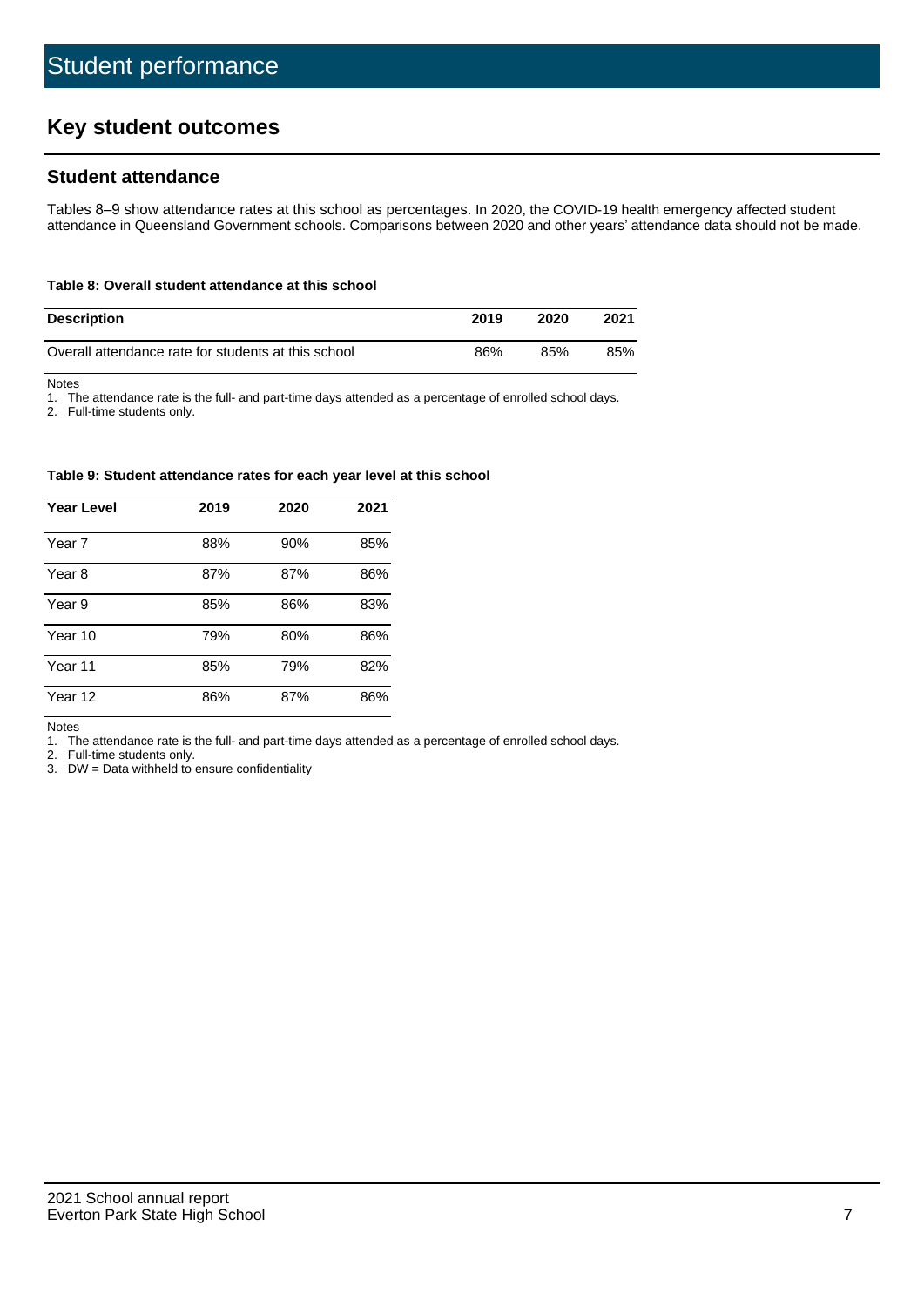# **Key student outcomes**

# **Student attendance**

Tables 8–9 show attendance rates at this school as percentages. In 2020, the COVID-19 health emergency affected student attendance in Queensland Government schools. Comparisons between 2020 and other years' attendance data should not be made.

#### **Table 8: Overall student attendance at this school**

| <b>Description</b>                                  | 2019 | 2020 | 2021 |
|-----------------------------------------------------|------|------|------|
| Overall attendance rate for students at this school | 86%  | 85%  | 85%  |

Notes

1. The attendance rate is the full- and part-time days attended as a percentage of enrolled school days.

2. Full-time students only.

#### **Table 9: Student attendance rates for each year level at this school**

| <b>Year Level</b> | 2019 | 2020 | 2021 |
|-------------------|------|------|------|
| Year 7            | 88%  | 90%  | 85%  |
| Year 8            | 87%  | 87%  | 86%  |
| Year 9            | 85%  | 86%  | 83%  |
| Year 10           | 79%  | 80%  | 86%  |
| Year 11           | 85%  | 79%  | 82%  |
| Year 12           | 86%  | 87%  | 86%  |

Notes

1. The attendance rate is the full- and part-time days attended as a percentage of enrolled school days.

2. Full-time students only.

3. DW = Data withheld to ensure confidentiality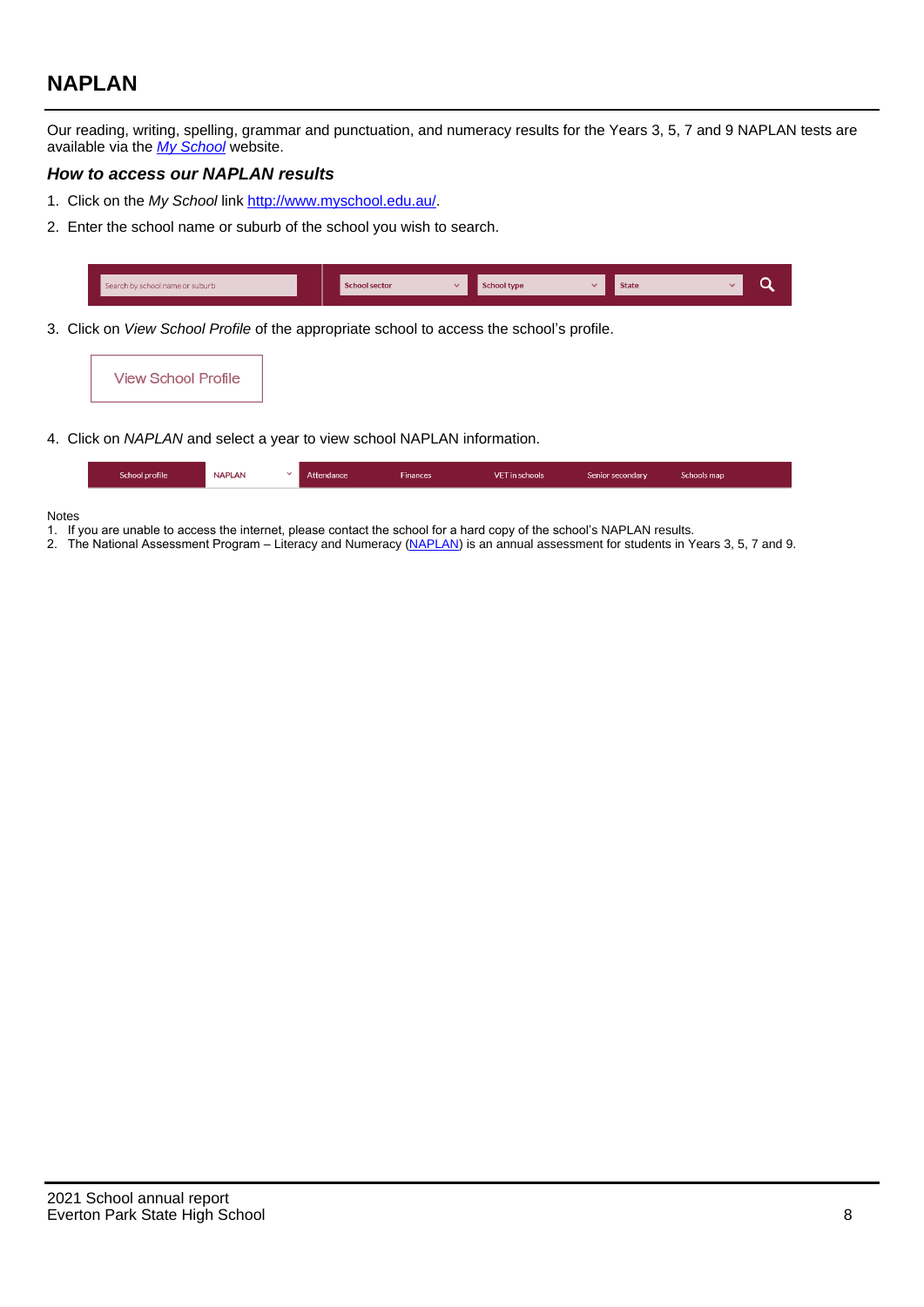# **NAPLAN**

Our reading, writing, spelling, grammar and punctuation, and numeracy results for the Years 3, 5, 7 and 9 NAPLAN tests are available via the [My School](http://www.myschool.edu.au/) website.

## **How to access our NAPLAN results**

- 1. Click on the My School link <http://www.myschool.edu.au/>.
- 2. Enter the school name or suburb of the school you wish to search.

| Search by school name or suburb | <b>School sector</b> | <b>School type</b>                        |          | <b>State</b> |  |
|---------------------------------|----------------------|-------------------------------------------|----------|--------------|--|
|                                 |                      |                                           |          |              |  |
|                                 |                      | $\sim$ $\sim$ $\sim$ $\sim$ $\sim$ $\sim$ | $\cdots$ |              |  |

3. Click on View School Profile of the appropriate school to access the school's profile.



4. Click on NAPLAN and select a year to view school NAPLAN information.

| <b>NAPLAN</b><br>School profile<br><b>Finances</b><br>Attendance<br><b>VET</b> in schools<br>Schools map<br>Senior secondary |
|------------------------------------------------------------------------------------------------------------------------------|
|------------------------------------------------------------------------------------------------------------------------------|

#### Notes

- 1. If you are unable to access the internet, please contact the school for a hard copy of the school's NAPLAN results.
- 2. The National Assessment Program Literacy and Numeracy ([NAPLAN\)](http://www.nap.edu.au/naplan) is an annual assessment for students in Years 3, 5, 7 and 9.